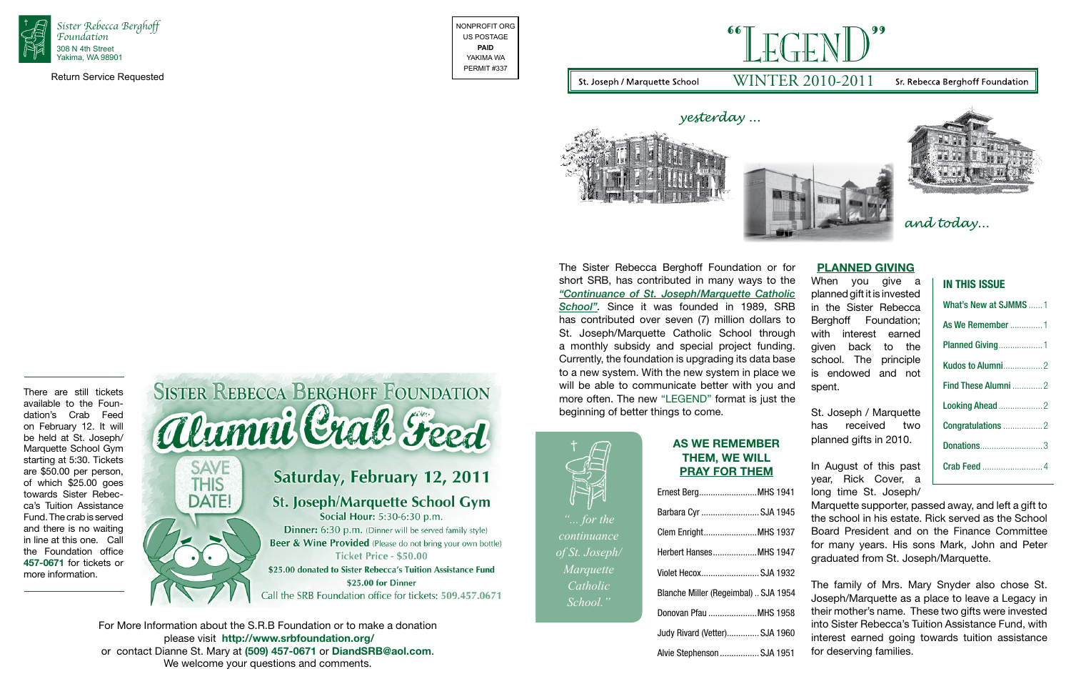# **In This Issue**

| What's New at SJMMS 1 |
|-----------------------|
| As We Remember  1     |
| Planned Giving1       |
|                       |
| Find These Alumni 2   |
|                       |
|                       |
|                       |
|                       |
|                       |



The Sister Rebecca Berghoff Foundation or for short SRB, has contributed in many ways to the *"Continuance of St. Joseph/Marquette Catholic School".* Since it was founded in 1989, SRB has contributed over seven (7) million dollars to St. Joseph/Marquette Catholic School through a monthly subsidy and special project funding. Currently, the foundation is upgrading its data base to a new system. With the new system in place we will be able to communicate better with you and more often. The new "LEGEND" format is just the beginning of better things to come. **Planned Giving** When you give a planned gift it is invested in the Sister Rebecca Berghoff Foundation; with interest earned given back to the school. The principle is endowed and not spent. St. Joseph / Marquette

Return Service Requested





For More Information about the S.R.B Foundation or to make a donation please visit **http://www.srbfoundation.org/** or contact Dianne St. Mary at **(509) 457-0671** or **DiandSRB@aol.com**. We welcome your questions and comments.

# **As We Remember Them, We will pray for them**

| Ernest BergMHS 1941                  |  |
|--------------------------------------|--|
| Barbara Cyr SJA 1945                 |  |
| Clem EnrightMHS 1937                 |  |
| Herbert HansesMHS 1947               |  |
| Violet Hecox SJA 1932                |  |
| Blanche Miller (Regeimbal)  SJA 1954 |  |
| Donovan Pfau MHS 1958                |  |
| Judy Rivard (Vetter) SJA 1960        |  |
| Alvie Stephenson SJA 1951            |  |

# $\Gamma$   $\Gamma$   $\Gamma$   $\Gamma$   $\Gamma$   $\Gamma$   $\Gamma$ WINTER 2010-2011

### Sr. Rebecca Berghoff Foundation



and today...

has received two planned gifts in 2010.

In August of this past year, Rick Cover, a long time St. Joseph/

Marquette supporter, passed away, and left a gift to the school in his estate. Rick served as the School Board President and on the Finance Committee for many years. His sons Mark, John and Peter graduated from St. Joseph/Marquette.

The family of Mrs. Mary Snyder also chose St. Joseph/Marquette as a place to leave a Legacy in their mother's name. These two gifts were invested into Sister Rebecca's Tuition Assistance Fund, with interest earned going towards tuition assistance for deserving families.

There are still tickets available to the Foundation's Crab Feed on February 12. It will be held at St. Joseph/ Marquette School Gym starting at 5:30. Tickets are \$50.00 per person, of which \$25.00 goes towards Sister Rebecca's Tuition Assistance Fund. The crab is served and there is no waiting in line at this one. Call the Foundation office **457-0671** for tickets or more information.